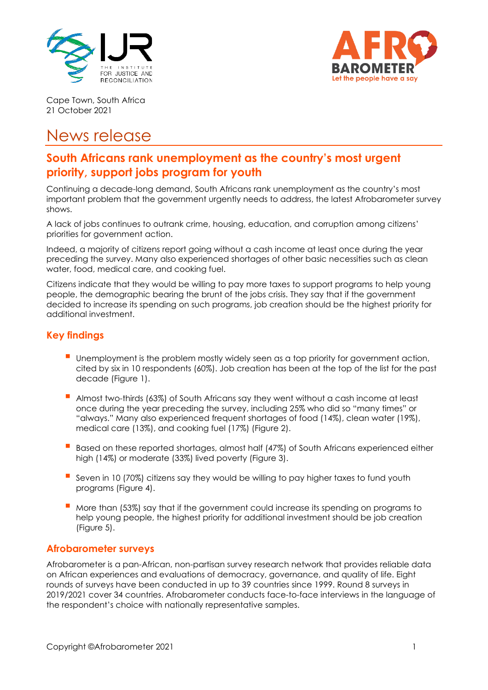



Cape Town, South Africa 21 October 2021

# News release

## **South Africans rank unemployment as the country's most urgent priority, support jobs program for youth**

Continuing a decade-long demand, South Africans rank unemployment as the country's most important problem that the government urgently needs to address, the latest Afrobarometer survey shows.

A lack of jobs continues to outrank crime, housing, education, and corruption among citizens' priorities for government action.

Indeed, a majority of citizens report going without a cash income at least once during the year preceding the survey. Many also experienced shortages of other basic necessities such as clean water, food, medical care, and cooking fuel.

Citizens indicate that they would be willing to pay more taxes to support programs to help young people, the demographic bearing the brunt of the jobs crisis. They say that if the government decided to increase its spending on such programs, job creation should be the highest priority for additional investment.

## **Key findings**

- Unemployment is the problem mostly widely seen as a top priority for government action, cited by six in 10 respondents (60%). Job creation has been at the top of the list for the past decade (Figure 1).
- **Almost two-thirds (63%) of South Africans say they went without a cash income at least** once during the year preceding the survey, including 25% who did so "many times" or "always." Many also experienced frequent shortages of food (14%), clean water (19%), medical care (13%), and cooking fuel (17%) (Figure 2).
- Based on these reported shortages, almost half (47%) of South Africans experienced either high (14%) or moderate (33%) lived poverty (Figure 3).
- Seven in 10 (70%) citizens say they would be willing to pay higher taxes to fund youth programs (Figure 4).
- More than (53%) say that if the government could increase its spending on programs to help young people, the highest priority for additional investment should be job creation (Figure 5).

## **Afrobarometer surveys**

Afrobarometer is a pan-African, non-partisan survey research network that provides reliable data on African experiences and evaluations of democracy, governance, and quality of life. Eight rounds of surveys have been conducted in up to 39 countries since 1999. Round 8 surveys in 2019/2021 cover 34 countries. Afrobarometer conducts face-to-face interviews in the language of the respondent's choice with nationally representative samples.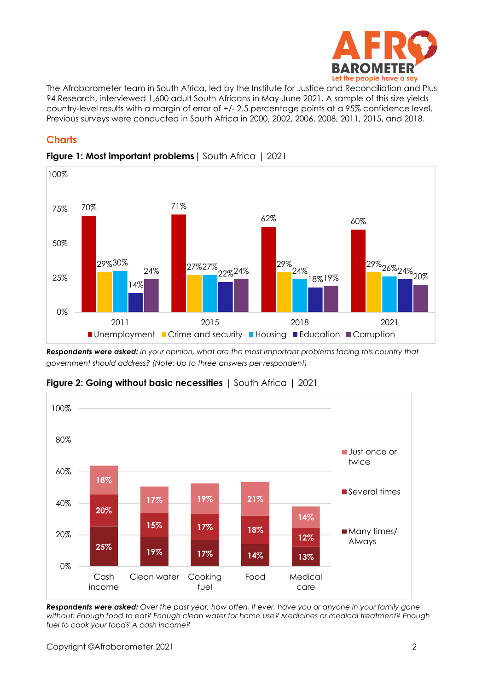

The Afrobarometer team in South Africa, led by the Institute for Justice and Reconciliation and Plus 94 Research, interviewed 1,600 adult South Africans in May-June 2021. A sample of this size yields country-level results with a margin of error of +/- 2.5 percentage points at a 95% confidence level. Previous surveys were conducted in South Africa in 2000, 2002, 2006, 2008, 2011, 2015, and 2018.

## **Charts**



#### **Figure 1: Most important problems**| South Africa | 2021

*Respondents were asked: In your opinion, what are the most important problems facing this country that government should address? (Note: Up to three answers per respondent)*



**Figure 2: Going without basic necessities** | South Africa | 2021

Respondents were asked: Over the past year, how often, if ever, have you or anyone in your family gone *without: Enough food to eat? Enough clean water for home use? Medicines or medical treatment? Enough fuel to cook your food? A cash income?*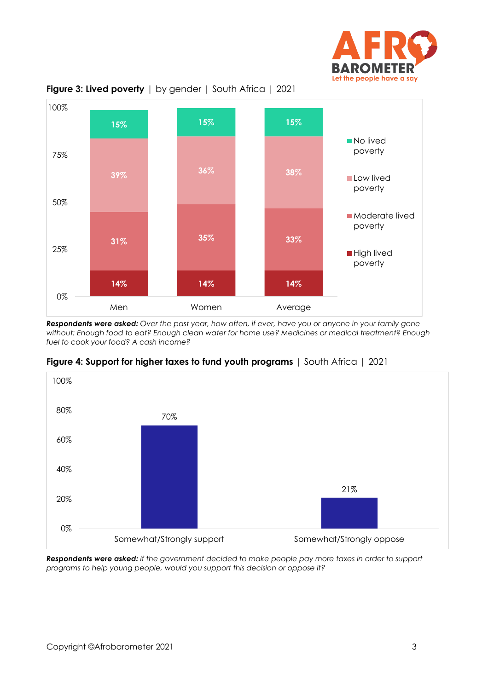



**Figure 3: Lived poverty** | by gender | South Africa | 2021

Respondents were asked: Over the past year, how often, if ever, have you or anyone in your family gone *without: Enough food to eat? Enough clean water for home use? Medicines or medical treatment? Enough fuel to cook your food? A cash income?*



**Figure 4: Support for higher taxes to fund youth programs** | South Africa | 2021

*Respondents were asked: If the government decided to make people pay more taxes in order to support programs to help young people, would you support this decision or oppose it?*